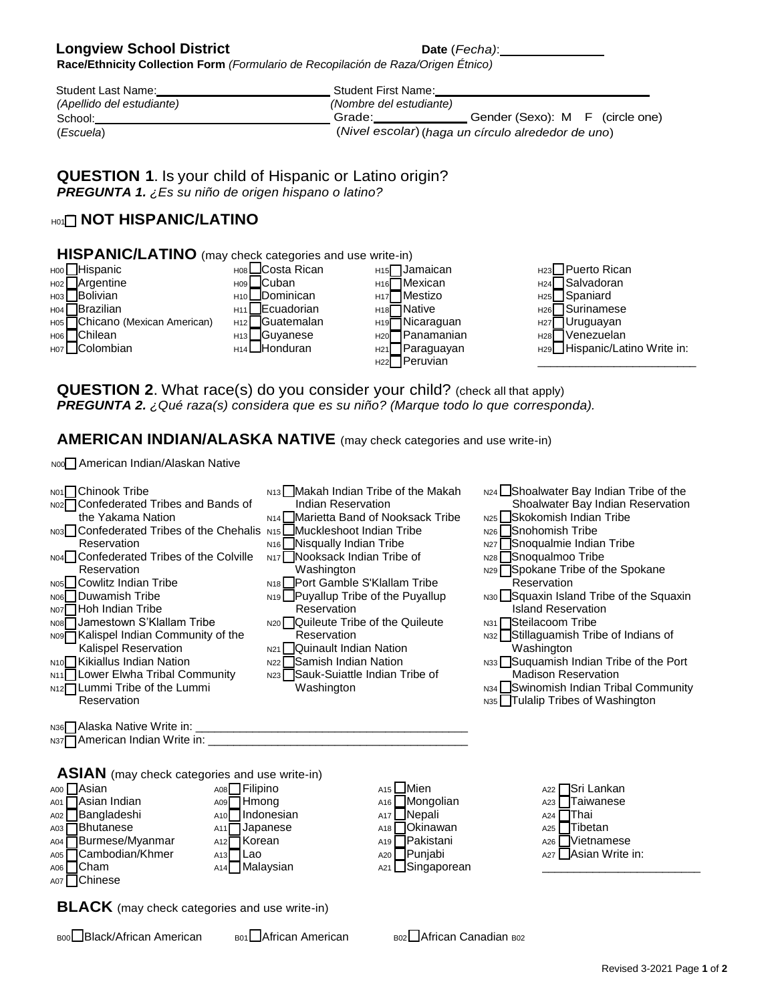## **Longview School District Date** (*Fecha*):

**Race/Ethnicity Collection Form** *(Formulario de Recopilación de Raza/Origen Étnico)*

| <b>Student Last Name:</b> | Student First Name:                                |
|---------------------------|----------------------------------------------------|
| (Apellido del estudiante) | (Nombre del estudiante)                            |
| School:                   | Gender (Sexo): M F (circle one)<br>Grade:          |
| (Escuela)                 | (Nivel escolar) (haga un círculo alrededor de uno) |

**QUESTION 1**. Is your child of Hispanic or Latino origin? *PREGUNTA 1. ¿Es su niño de origen hispano o latino?* 

## **H01 <b>NOT HISPANIC/LATINO**



**QUESTION 2.** What race(s) do you consider your child? (check all that apply) *PREGUNTA 2. ¿Qué raza(s) considera que es su niño? (Marque todo lo que corresponda).*

**AMERICAN INDIAN/ALASKA NATIVE** (may check categories and use write-in)

N00 American Indian/Alaskan Native

| N01 Chinook Tribe                                                      | N <sub>13</sub> Makah Indian Tribe of the Makah | N24 Shoalwater Bay Indian Tribe of the  |
|------------------------------------------------------------------------|-------------------------------------------------|-----------------------------------------|
| N02□ Confederated Tribes and Bands of                                  | Indian Reservation                              | Shoalwater Bay Indian Reservation       |
| the Yakama Nation                                                      | N <sub>14</sub> Marietta Band of Nooksack Tribe | N <sub>25</sub> Skokomish Indian Tribe  |
| N03 Confederated Tribes of the Chehalis N15 Muckleshoot Indian Tribe   |                                                 | N <sub>26</sub> Snohomish Tribe         |
| Reservation                                                            | N <sub>16</sub> Nisqually Indian Tribe          | N27 Snoqualmie Indian Tribe             |
| N04 Confederated Tribes of the Colville                                | N <sub>17</sub> Nooksack Indian Tribe of        | N28 Snoqualmoo Tribe                    |
| Reservation                                                            | Washington                                      | N29 Spokane Tribe of the Spokane        |
| Nosl Cowlitz Indian Tribe                                              | N <sub>18</sub> Port Gamble S'Klallam Tribe     | Reservation                             |
| NO6 Duwamish Tribe                                                     | N <sub>19</sub> Puyallup Tribe of the Puyallup  | N30 Squaxin Island Tribe of the Squaxin |
| NO7 Hoh Indian Tribe                                                   | Reservation                                     | <b>Island Reservation</b>               |
| N08 Jamestown S'Klallam Tribe                                          | N <sub>20</sub> Quileute Tribe of the Quileute  | $N31$ Steilacoom Tribe                  |
| N09□ Kalispel Indian Community of the                                  | Reservation                                     | N32 Stillaguamish Tribe of Indians of   |
| Kalispel Reservation                                                   | N <sub>21</sub> Quinault Indian Nation          | Washington                              |
| N <sub>10</sub> Kikiallus Indian Nation                                | N22 Samish Indian Nation                        | N33 Suquamish Indian Tribe of the Port  |
| N11 Lower Elwha Tribal Community                                       | <sub>N23</sub> Sauk-Suiattle Indian Tribe of    | <b>Madison Reservation</b>              |
| N <sub>12</sub> Lummi Tribe of the Lummi                               | Washington                                      | N34   Swinomish Indian Tribal Community |
| Reservation                                                            |                                                 | N35 Tulalip Tribes of Washington        |
|                                                                        |                                                 |                                         |
|                                                                        |                                                 |                                         |
|                                                                        |                                                 |                                         |
|                                                                        |                                                 |                                         |
|                                                                        |                                                 |                                         |
| <b>ASIAN</b> (may check categories and use write-in)                   |                                                 |                                         |
| A00 Asian<br>$A08$ Filipino                                            | $A15$ Mien                                      | A22 <del>□</del> Sri Lankan             |
| A09 <sup></sup> Hmong<br>Asian Indian<br>A01 I                         | A <sub>16</sub>   Mongolian                     | $A23$ $\Box$ Taiwanese                  |
| Bangladeshi]<br>$A10$ Indonesian<br>A02                                | A <sub>17</sub> Nepali                          | $A24$ Thai                              |
| $A03$ $\Box$ Bhutanese<br>$A11$ Japanese                               | $A18$ Okinawan                                  | $A25$ $\Box$ Tibetan                    |
| <b>O</b> Burmese/Myanmar<br>A <sub>12</sub> <sup>−</sup> Korean<br>A04 | A <sub>19</sub>   Pakistani                     | $A26$ Vietnamese                        |
| A05 Cambodian/Khmer<br>$A13$ Lao                                       | A20 Punjabi                                     | A27 Asian Write in:                     |
| A06 Cham<br>$A14$ Malaysian                                            | A <sub>21</sub> Singaporean                     |                                         |
| A07 Chinese                                                            |                                                 |                                         |
|                                                                        |                                                 |                                         |

**BLACK** (may check categories and use write-in)

B00 Black/African American B01 African American B02 African Canadian B02